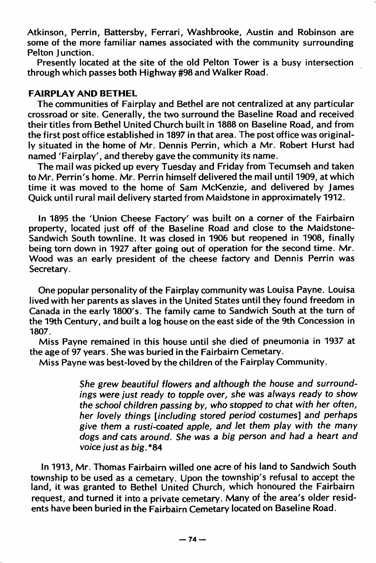## FAIRPLAY AND BETHEL

The communities of Fairplay and Bethel are not centralized at any particular crossroad or site. Generally, the two surround the Baseline Road and received their titles from Bethel United Church built in 1888 on Baseline Road, and from the first post office established in 1897 in that area. The post office was original ly situated in the home of Mr. Dennis Perrin, which a Mr. Robert Hurst had named 'Fairplay', and thereby gave the community its name.

The mail was picked up every Tuesday and Friday from Tecumseh and taken to Mr. Perrin's home. Mr. Perrin himself delivered the mail until 1909, at which time it was moved to the home of Sam McKenzie, and delivered by James Quick until rural mail delivery started from Maidstone in approximately 1912.

In 1895 the 'Union Cheese Factory' was built on a corner of the Fairbairn property, located just off of the Baseline Road and close to the Maidstone-Sandwich South townline. It was closed in 1906 but reopened in 1908, finally being torn down in 1927 after going out of operation for the second time. Mr. Wood was an early president of the cheese factory and Dennis Perrin was Secretary.

One popular personality of the Fairplay community was Louisa Payne. Louisa lived with her parents as slaves in the United States until they found freedom in Canada in the early 1800's. The family came to Sandwich South at the turn of the 19th Century, and built a log house on the east side of the 9th Concession in 1807.

Miss Payne remained in this house until she died of pneumonia in 1937 at the age of 97 years. She was buried in the Fairbairn Cemetary.

Miss Payne was best-loved by the children of the Fairplay Community.

She grew beautiful flowers and although the house and surroundings were just ready to topple over, she was always ready to show the school children passing by, who stopped to chat with her often, her lovely things [including stored period costumes] and perhaps give them a rusti-coated apple, and let them play with the many dogs and cats around. She was a big person and had a heart and voice just as big. \*84

In 1913, Mr. Thomas Fairbairn willed one acre of his land to Sandwich South township to be used as a cemetary. Upon the township's refusal to accept the land, it was granted to Bethel United Church, which honoured the Fairbairn request, and turned it into a private cemetary. Many of the area's older resid ents have been buried in the Fairbairn Cemetary located on Baseline Road.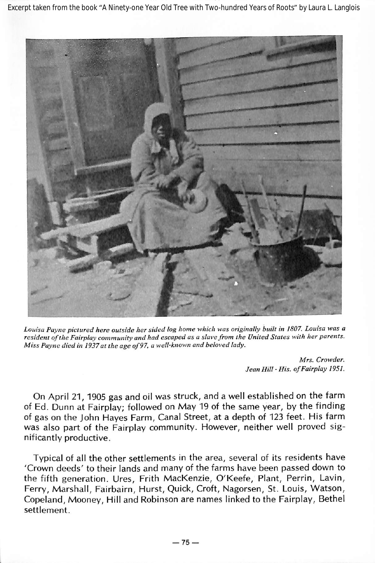Excerpt taken from the book "A Ninety-one Year Old Tree with Two-hundred Years of Roots" by Laura L. Langlois



Louisa Payne pictured here outside her sided log home which was originally built in 1807. Louisa was a resident of the Fairplay community and had escaped as a slave from the United States with her parents. Miss Payne died in 1937at the age of97, a well-known and beloved lady.

Mrs. Crowder. Jean Hill • His. ofFairplay 1951.

On April 21, 1905 gas and oil was struck, and a well established on the farm of Ed. Dunn at Fairplay; followed on May 19 of the same year, by the finding of gas on the John Hayes Farm, Canal Street, at a depth of 123 feet. His farm was also part of the Fairplay community. However, neither well proved sig nificantly productive.

Typical of all the other settlements in the area, several of its residents have 'Crown deeds' to their lands and many of the farms have been passed down to the fifth generation. Ures, Frith MacKenzie, O'Keefe, Plant, Perrin, Lavin, Ferry, Marshall, Fairbairn, Hurst, Quick, Croft, Nagorsen, St. Louis, Watson, Copeland, Mooney, Hill and Robinson are names linked to the Fairplay, Bethel settlement.